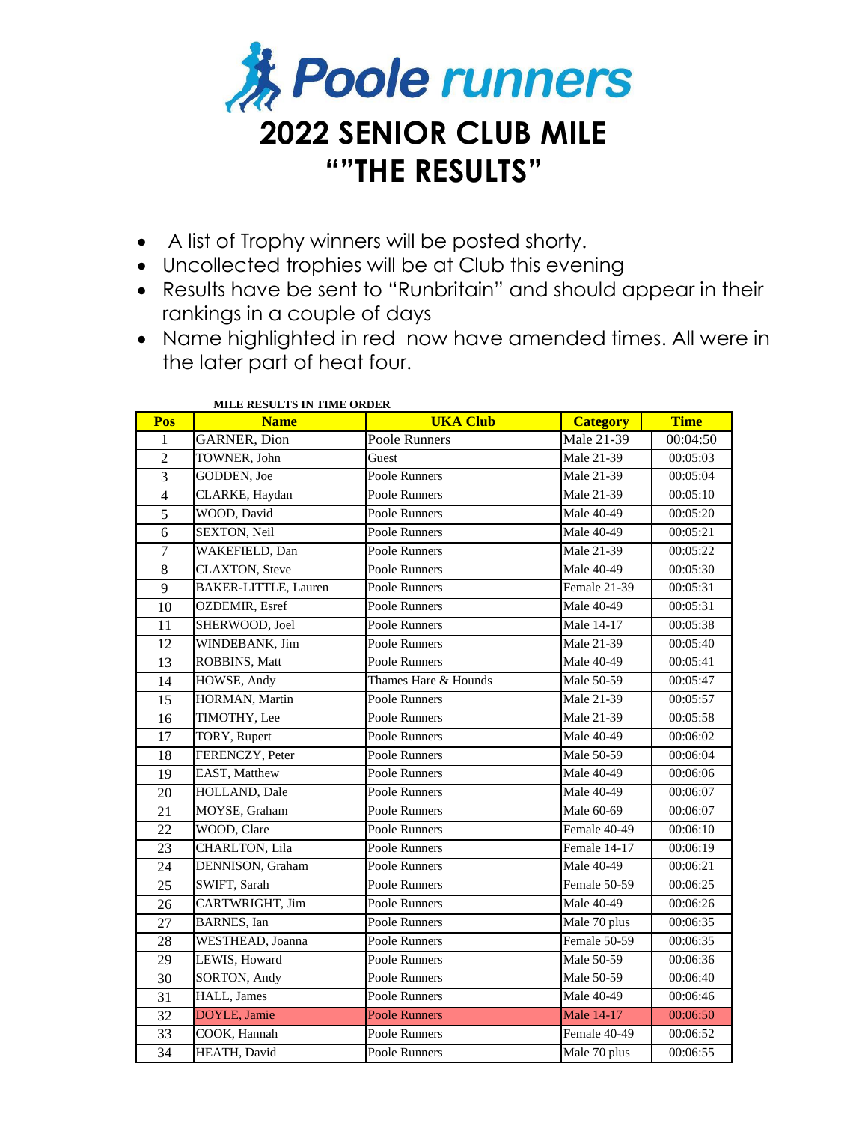

- A list of Trophy winners will be posted shorty.
- Uncollected trophies will be at Club this evening
- Results have be sent to "Runbritain" and should appear in their rankings in a couple of days
- Name highlighted in red now have amended times. All were in the later part of heat four.

| Pos             | MILLE RESOLTS IN THREE ORDER<br><b>Name</b> | <b>UKA Club</b>      | <b>Category</b>   | <b>Time</b> |
|-----------------|---------------------------------------------|----------------------|-------------------|-------------|
| 1               | <b>GARNER, Dion</b>                         | Poole Runners        | Male 21-39        | 00:04:50    |
| $\overline{2}$  | TOWNER, John                                | Guest                | Male 21-39        | 00:05:03    |
| $\overline{3}$  | GODDEN, Joe                                 | Poole Runners        | Male 21-39        | 00:05:04    |
| $\overline{4}$  | CLARKE, Haydan                              | Poole Runners        | Male 21-39        | 00:05:10    |
| $\overline{5}$  | WOOD, David                                 | Poole Runners        | Male 40-49        | 00:05:20    |
| 6               | SEXTON, Neil                                | Poole Runners        | Male 40-49        | 00:05:21    |
| $\overline{7}$  | WAKEFIELD, Dan                              | Poole Runners        | Male 21-39        | 00:05:22    |
| 8               | <b>CLAXTON</b> , Steve                      | Poole Runners        | Male 40-49        | 00:05:30    |
| 9               | <b>BAKER-LITTLE, Lauren</b>                 | Poole Runners        | Female 21-39      | 00:05:31    |
| $\overline{10}$ | <b>OZDEMIR</b> , Esref                      | Poole Runners        | Male 40-49        | 00:05:31    |
| $\overline{11}$ | SHERWOOD, Joel                              | Poole Runners        | Male 14-17        | 00:05:38    |
| 12              | WINDEBANK, Jim                              | Poole Runners        | Male 21-39        | 00:05:40    |
| 13              | ROBBINS, Matt                               | Poole Runners        | Male 40-49        | 00:05:41    |
| 14              | HOWSE, Andy                                 | Thames Hare & Hounds | Male 50-59        | 00:05:47    |
| 15              | HORMAN, Martin                              | Poole Runners        | Male 21-39        | 00:05:57    |
| 16              | TIMOTHY, Lee                                | Poole Runners        | Male 21-39        | 00:05:58    |
| 17              | TORY, Rupert                                | Poole Runners        | Male 40-49        | 00:06:02    |
| 18              | FERENCZY, Peter                             | Poole Runners        | Male 50-59        | 00:06:04    |
| 19              | EAST, Matthew                               | Poole Runners        | Male 40-49        | 00:06:06    |
| 20              | HOLLAND, Dale                               | Poole Runners        | Male 40-49        | 00:06:07    |
| 21              | MOYSE, Graham                               | Poole Runners        | Male 60-69        | 00:06:07    |
| 22              | WOOD, Clare                                 | Poole Runners        | Female 40-49      | 00:06:10    |
| 23              | <b>CHARLTON, Lila</b>                       | Poole Runners        | Female 14-17      | 00:06:19    |
| 24              | DENNISON, Graham                            | Poole Runners        | Male 40-49        | 00:06:21    |
| 25              | SWIFT, Sarah                                | Poole Runners        | Female 50-59      | 00:06:25    |
| 26              | CARTWRIGHT, Jim                             | Poole Runners        | Male 40-49        | 00:06:26    |
| 27              | <b>BARNES</b> , Ian                         | Poole Runners        | Male 70 plus      | 00:06:35    |
| $\overline{28}$ | WESTHEAD, Joanna                            | Poole Runners        | Female 50-59      | 00:06:35    |
| 29              | LEWIS, Howard                               | Poole Runners        | Male 50-59        | 00:06:36    |
| 30              | SORTON, Andy                                | Poole Runners        | Male 50-59        | 00:06:40    |
| 31              | HALL, James                                 | Poole Runners        | Male 40-49        | 00:06:46    |
| $\overline{32}$ | DOYLE, Jamie                                | <b>Poole Runners</b> | <b>Male 14-17</b> | 00:06:50    |
| 33              | COOK, Hannah                                | Poole Runners        | Female 40-49      | 00:06:52    |
| 34              | HEATH, David                                | Poole Runners        | Male 70 plus      | 00:06:55    |

## **MILE RESULTS IN TIME ORDER**